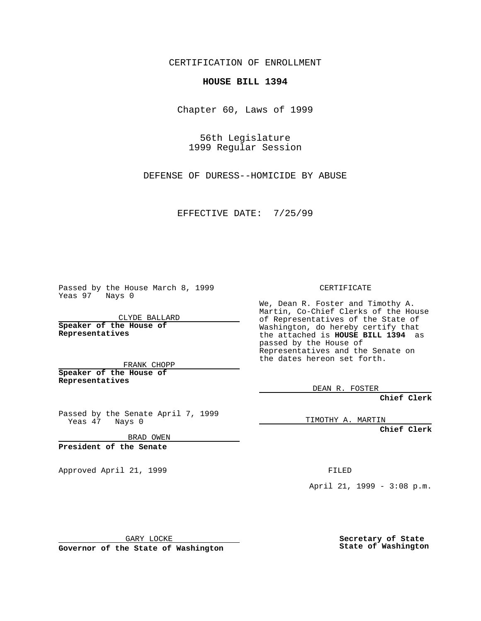CERTIFICATION OF ENROLLMENT

## **HOUSE BILL 1394**

Chapter 60, Laws of 1999

56th Legislature 1999 Regular Session

DEFENSE OF DURESS--HOMICIDE BY ABUSE

EFFECTIVE DATE: 7/25/99

Passed by the House March 8, 1999 Yeas 97 Nays 0

CLYDE BALLARD **Speaker of the House of Representatives**

FRANK CHOPP **Speaker of the House of Representatives**

Passed by the Senate April 7, 1999 Yeas 47 Nays 0

BRAD OWEN

**President of the Senate**

Approved April 21, 1999 FILED

CERTIFICATE

We, Dean R. Foster and Timothy A. Martin, Co-Chief Clerks of the House of Representatives of the State of Washington, do hereby certify that the attached is **HOUSE BILL 1394** as passed by the House of Representatives and the Senate on the dates hereon set forth.

DEAN R. FOSTER

**Chief Clerk**

TIMOTHY A. MARTIN

**Chief Clerk**

April 21, 1999 - 3:08 p.m.

GARY LOCKE

**Governor of the State of Washington**

**Secretary of State State of Washington**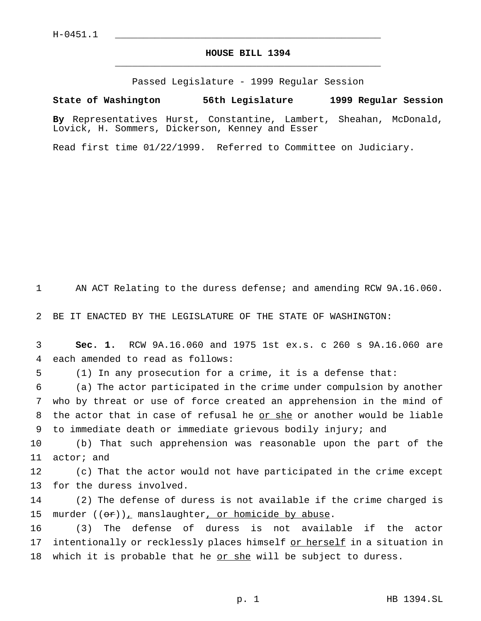## **HOUSE BILL 1394** \_\_\_\_\_\_\_\_\_\_\_\_\_\_\_\_\_\_\_\_\_\_\_\_\_\_\_\_\_\_\_\_\_\_\_\_\_\_\_\_\_\_\_\_\_\_\_

Passed Legislature - 1999 Regular Session

## **State of Washington 56th Legislature 1999 Regular Session**

**By** Representatives Hurst, Constantine, Lambert, Sheahan, McDonald, Lovick, H. Sommers, Dickerson, Kenney and Esser

Read first time 01/22/1999. Referred to Committee on Judiciary.

1 AN ACT Relating to the duress defense; and amending RCW 9A.16.060.

2 BE IT ENACTED BY THE LEGISLATURE OF THE STATE OF WASHINGTON:

3 **Sec. 1.** RCW 9A.16.060 and 1975 1st ex.s. c 260 s 9A.16.060 are 4 each amended to read as follows:

5 (1) In any prosecution for a crime, it is a defense that:

 (a) The actor participated in the crime under compulsion by another who by threat or use of force created an apprehension in the mind of the actor that in case of refusal he or she or another would be liable to immediate death or immediate grievous bodily injury; and

10 (b) That such apprehension was reasonable upon the part of the 11 actor; and

12 (c) That the actor would not have participated in the crime except 13 for the duress involved.

14 (2) The defense of duress is not available if the crime charged is 15 murder  $((\theta \cdot r))_T$  manslaughter, or homicide by abuse.

16 (3) The defense of duress is not available if the actor 17 intentionally or recklessly places himself or herself in a situation in 18 which it is probable that he or she will be subject to duress.